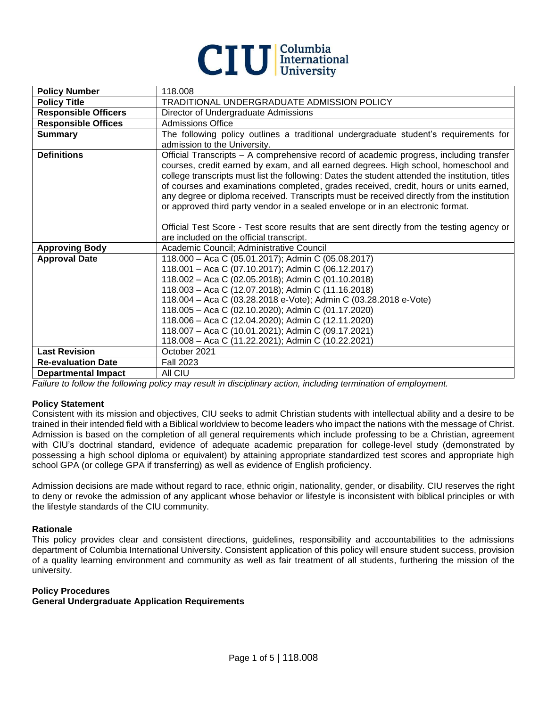

| <b>Policy Number</b>        | 118.008                                                                                                                                                                                                                                                                                                                                                                                                                                                                                                                                                                                                                                                                                               |
|-----------------------------|-------------------------------------------------------------------------------------------------------------------------------------------------------------------------------------------------------------------------------------------------------------------------------------------------------------------------------------------------------------------------------------------------------------------------------------------------------------------------------------------------------------------------------------------------------------------------------------------------------------------------------------------------------------------------------------------------------|
| <b>Policy Title</b>         | TRADITIONAL UNDERGRADUATE ADMISSION POLICY                                                                                                                                                                                                                                                                                                                                                                                                                                                                                                                                                                                                                                                            |
| <b>Responsible Officers</b> | Director of Undergraduate Admissions                                                                                                                                                                                                                                                                                                                                                                                                                                                                                                                                                                                                                                                                  |
| <b>Responsible Offices</b>  | <b>Admissions Office</b>                                                                                                                                                                                                                                                                                                                                                                                                                                                                                                                                                                                                                                                                              |
| <b>Summary</b>              | The following policy outlines a traditional undergraduate student's requirements for<br>admission to the University.                                                                                                                                                                                                                                                                                                                                                                                                                                                                                                                                                                                  |
| <b>Definitions</b>          | Official Transcripts - A comprehensive record of academic progress, including transfer<br>courses, credit earned by exam, and all earned degrees. High school, homeschool and<br>college transcripts must list the following: Dates the student attended the institution, titles<br>of courses and examinations completed, grades received, credit, hours or units earned,<br>any degree or diploma received. Transcripts must be received directly from the institution<br>or approved third party vendor in a sealed envelope or in an electronic format.<br>Official Test Score - Test score results that are sent directly from the testing agency or<br>are included on the official transcript. |
| <b>Approving Body</b>       | Academic Council; Administrative Council                                                                                                                                                                                                                                                                                                                                                                                                                                                                                                                                                                                                                                                              |
| <b>Approval Date</b>        | 118.000 - Aca C (05.01.2017); Admin C (05.08.2017)<br>118.001 - Aca C (07.10.2017); Admin C (06.12.2017)<br>118.002 - Aca C (02.05.2018); Admin C (01.10.2018)<br>118.003 - Aca C (12.07.2018); Admin C (11.16.2018)<br>118.004 - Aca C (03.28.2018 e-Vote); Admin C (03.28.2018 e-Vote)<br>118.005 - Aca C (02.10.2020); Admin C (01.17.2020)<br>118.006 - Aca C (12.04.2020); Admin C (12.11.2020)<br>118.007 - Aca C (10.01.2021); Admin C (09.17.2021)<br>118.008 - Aca C (11.22.2021); Admin C (10.22.2021)                                                                                                                                                                                      |
| <b>Last Revision</b>        | October 2021                                                                                                                                                                                                                                                                                                                                                                                                                                                                                                                                                                                                                                                                                          |
| <b>Re-evaluation Date</b>   | <b>Fall 2023</b>                                                                                                                                                                                                                                                                                                                                                                                                                                                                                                                                                                                                                                                                                      |
| <b>Departmental Impact</b>  | All CIU                                                                                                                                                                                                                                                                                                                                                                                                                                                                                                                                                                                                                                                                                               |

*Failure to follow the following policy may result in disciplinary action, including termination of employment.*

### **Policy Statement**

Consistent with its mission and objectives, CIU seeks to admit Christian students with intellectual ability and a desire to be trained in their intended field with a Biblical worldview to become leaders who impact the nations with the message of Christ. Admission is based on the completion of all general requirements which include professing to be a Christian, agreement with CIU's doctrinal standard, evidence of adequate academic preparation for college-level study (demonstrated by possessing a high school diploma or equivalent) by attaining appropriate standardized test scores and appropriate high school GPA (or college GPA if transferring) as well as evidence of English proficiency.

Admission decisions are made without regard to race, ethnic origin, nationality, gender, or disability. CIU reserves the right to deny or revoke the admission of any applicant whose behavior or lifestyle is inconsistent with biblical principles or with the lifestyle standards of the CIU community.

### **Rationale**

This policy provides clear and consistent directions, guidelines, responsibility and accountabilities to the admissions department of Columbia International University. Consistent application of this policy will ensure student success, provision of a quality learning environment and community as well as fair treatment of all students, furthering the mission of the university.

### **Policy Procedures**

## **General Undergraduate Application Requirements**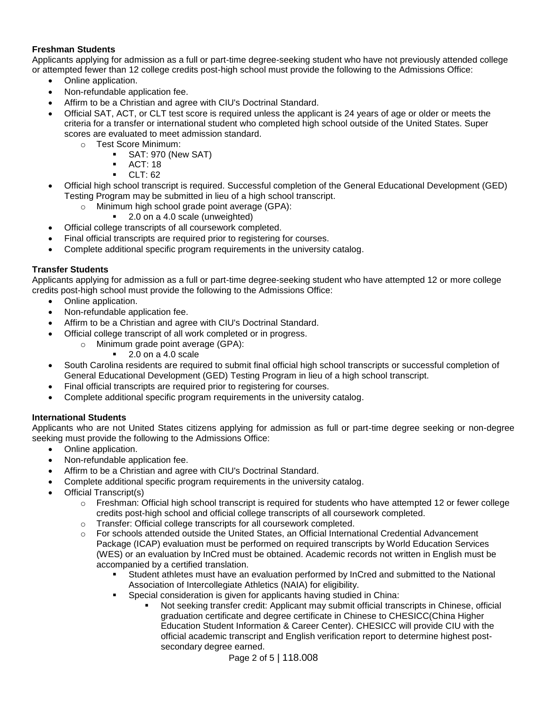# **Freshman Students**

Applicants applying for admission as a full or part-time degree-seeking student who have not previously attended college or attempted fewer than 12 college credits post-high school must provide the following to the Admissions Office:

- Online application.
- Non-refundable application fee.
- Affirm to be a Christian and agree with CIU's Doctrinal Standard.
- Official SAT, ACT, or CLT test score is required unless the applicant is 24 years of age or older or meets the criteria for a transfer or international student who completed high school outside of the United States. Super scores are evaluated to meet admission standard.
	- o Test Score Minimum:
		- SAT: 970 (New SAT)
		- ACT: 18
		- $\blacksquare$  CLT: 62
- Official high school transcript is required. Successful completion of the General Educational Development (GED) Testing Program may be submitted in lieu of a high school transcript.
	- o Minimum high school grade point average (GPA):
		- 2.0 on a 4.0 scale (unweighted)
- Official college transcripts of all coursework completed.
- Final official transcripts are required prior to registering for courses.
- Complete additional specific program requirements in the university catalog.

# **Transfer Students**

Applicants applying for admission as a full or part-time degree-seeking student who have attempted 12 or more college credits post-high school must provide the following to the Admissions Office:

- Online application.
- Non-refundable application fee.
- Affirm to be a Christian and agree with CIU's Doctrinal Standard.
- Official college transcript of all work completed or in progress.
	- o Minimum grade point average (GPA):
		- $2.0$  on a  $4.0$  scale
- South Carolina residents are required to submit final official high school transcripts or successful completion of General Educational Development (GED) Testing Program in lieu of a high school transcript.
- Final official transcripts are required prior to registering for courses.
- Complete additional specific program requirements in the university catalog.

# **International Students**

Applicants who are not United States citizens applying for admission as full or part-time degree seeking or non-degree seeking must provide the following to the Admissions Office:

- Online application.
- Non-refundable application fee.
- Affirm to be a Christian and agree with CIU's Doctrinal Standard.
- Complete additional specific program requirements in the university catalog.
- Official Transcript(s)
	- $\circ$  Freshman: Official high school transcript is required for students who have attempted 12 or fewer college credits post-high school and official college transcripts of all coursework completed.
	- o Transfer: Official college transcripts for all coursework completed.
	- o For schools attended outside the United States, an Official International Credential Advancement Package (ICAP) evaluation must be performed on required transcripts by World Education Services (WES) or an evaluation by InCred must be obtained. Academic records not written in English must be accompanied by a certified translation.
		- Student athletes must have an evaluation performed by InCred and submitted to the National Association of Intercollegiate Athletics (NAIA) for eligibility.
		- Special consideration is given for applicants having studied in China:
			- Not seeking transfer credit: Applicant may submit official transcripts in Chinese, official graduation certificate and degree certificate in Chinese to CHESICC(China Higher Education Student Information & Career Center). CHESICC will provide CIU with the official academic transcript and English verification report to determine highest postsecondary degree earned.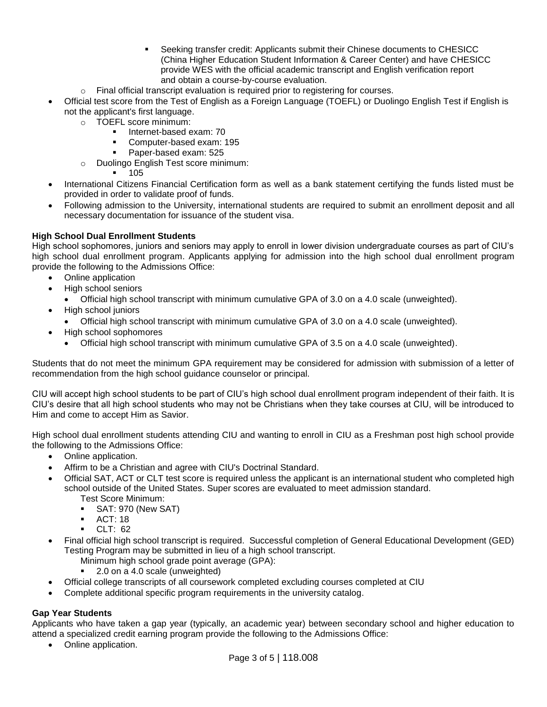- Seeking transfer credit: Applicants submit their Chinese documents to CHESICC (China Higher Education Student Information & Career Center) and have CHESICC provide WES with the official academic transcript and English verification report and obtain a course-by-course evaluation.
- $\circ$  Final official transcript evaluation is required prior to registering for courses.
- Official test score from the Test of English as a Foreign Language (TOEFL) or Duolingo English Test if English is not the applicant's first language.
	- o TOEFL score minimum:
		- Internet-based exam: 70
		- Computer-based exam: 195
		- Paper-based exam: 525
	- o Duolingo English Test score minimum:

105

- International Citizens Financial Certification form as well as a bank statement certifying the funds listed must be provided in order to validate proof of funds.
- Following admission to the University, international students are required to submit an enrollment deposit and all necessary documentation for issuance of the student visa.

# **High School Dual Enrollment Students**

High school sophomores, juniors and seniors may apply to enroll in lower division undergraduate courses as part of CIU's high school dual enrollment program. Applicants applying for admission into the high school dual enrollment program provide the following to the Admissions Office:

- Online application
- High school seniors
	- Official high school transcript with minimum cumulative GPA of 3.0 on a 4.0 scale (unweighted).
- High school juniors
	- Official high school transcript with minimum cumulative GPA of 3.0 on a 4.0 scale (unweighted).
- High school sophomores
	- Official high school transcript with minimum cumulative GPA of 3.5 on a 4.0 scale (unweighted).

Students that do not meet the minimum GPA requirement may be considered for admission with submission of a letter of recommendation from the high school guidance counselor or principal.

CIU will accept high school students to be part of CIU's high school dual enrollment program independent of their faith. It is CIU's desire that all high school students who may not be Christians when they take courses at CIU, will be introduced to Him and come to accept Him as Savior.

High school dual enrollment students attending CIU and wanting to enroll in CIU as a Freshman post high school provide the following to the Admissions Office:

- Online application.
- Affirm to be a Christian and agree with CIU's Doctrinal Standard.
- Official SAT, ACT or CLT test score is required unless the applicant is an international student who completed high school outside of the United States. Super scores are evaluated to meet admission standard. Test Score Minimum:
	- SAT: 970 (New SAT)
	- $\blacksquare$  ACT: 18
	- CLT: 62
- Final official high school transcript is required. Successful completion of General Educational Development (GED) Testing Program may be submitted in lieu of a high school transcript.
	- Minimum high school grade point average (GPA):
	- 2.0 on a 4.0 scale (unweighted)
- Official college transcripts of all coursework completed excluding courses completed at CIU
- Complete additional specific program requirements in the university catalog.

# **Gap Year Students**

Applicants who have taken a gap year (typically, an academic year) between secondary school and higher education to attend a specialized credit earning program provide the following to the Admissions Office:

• Online application.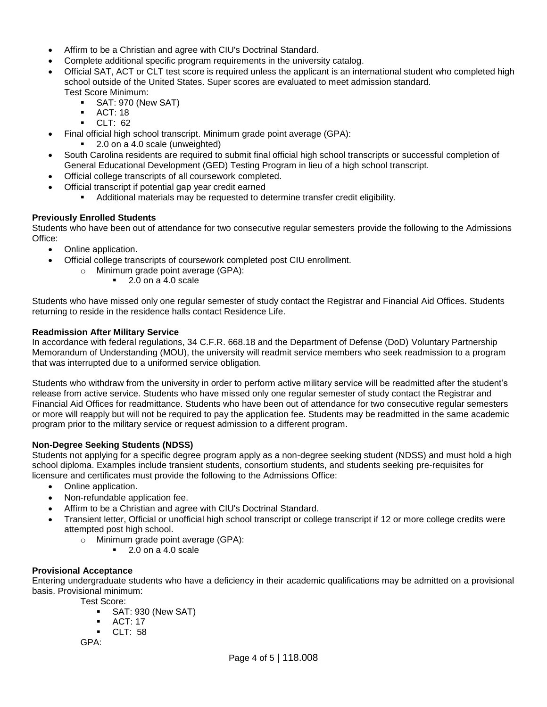- Affirm to be a Christian and agree with CIU's Doctrinal Standard.
- Complete additional specific program requirements in the university catalog.
- Official SAT, ACT or CLT test score is required unless the applicant is an international student who completed high school outside of the United States. Super scores are evaluated to meet admission standard. Test Score Minimum:
	- **B** SAT: 970 (New SAT)
	- ACT: 18
	- CLT: 62
- Final official high school transcript. Minimum grade point average (GPA):
	- 2.0 on a 4.0 scale (unweighted)
- South Carolina residents are required to submit final official high school transcripts or successful completion of General Educational Development (GED) Testing Program in lieu of a high school transcript.
- Official college transcripts of all coursework completed.
- Official transcript if potential gap year credit earned
	- Additional materials may be requested to determine transfer credit eligibility.

# **Previously Enrolled Students**

Students who have been out of attendance for two consecutive regular semesters provide the following to the Admissions Office:

- Online application.
- Official college transcripts of coursework completed post CIU enrollment.
	- o Minimum grade point average (GPA):
		- 2.0 on a 4.0 scale

Students who have missed only one regular semester of study contact the Registrar and Financial Aid Offices. Students returning to reside in the residence halls contact Residence Life.

## **Readmission After Military Service**

In accordance with federal regulations, 34 C.F.R. 668.18 and the Department of Defense (DoD) Voluntary Partnership Memorandum of Understanding (MOU), the university will readmit service members who seek readmission to a program that was interrupted due to a uniformed service obligation.

Students who withdraw from the university in order to perform active military service will be readmitted after the student's release from active service. Students who have missed only one regular semester of study contact the Registrar and Financial Aid Offices for readmittance. Students who have been out of attendance for two consecutive regular semesters or more will reapply but will not be required to pay the application fee. Students may be readmitted in the same academic program prior to the military service or request admission to a different program.

## **Non-Degree Seeking Students (NDSS)**

Students not applying for a specific degree program apply as a non-degree seeking student (NDSS) and must hold a high school diploma. Examples include transient students, consortium students, and students seeking pre-requisites for licensure and certificates must provide the following to the Admissions Office:

- Online application.
- Non-refundable application fee.
- Affirm to be a Christian and agree with CIU's Doctrinal Standard.
- Transient letter, Official or unofficial high school transcript or college transcript if 12 or more college credits were attempted post high school.
	- o Minimum grade point average (GPA):
		- $\blacksquare$  2.0 on a 4.0 scale

## **Provisional Acceptance**

Entering undergraduate students who have a deficiency in their academic qualifications may be admitted on a provisional basis. Provisional minimum:

- Test Score:
	- SAT: 930 (New SAT)
	- ACT: 17
	- $CLT: 58$

GPA: